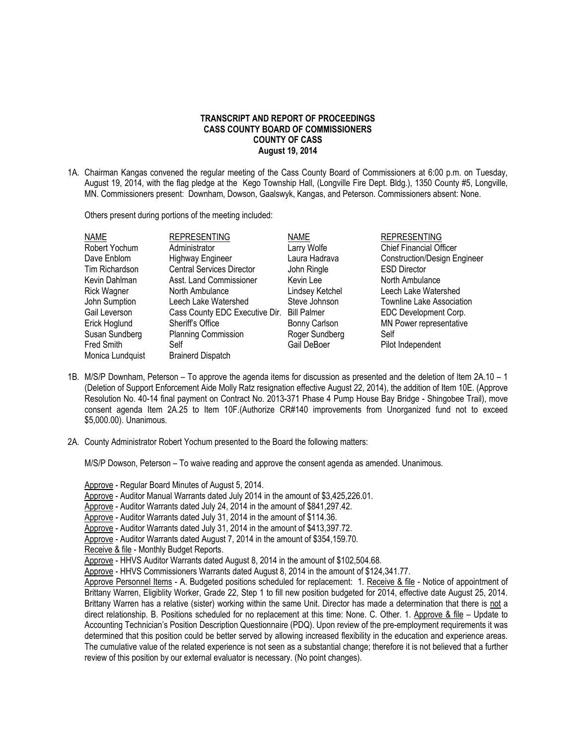## **TRANSCRIPT AND REPORT OF PROCEEDINGS CASS COUNTY BOARD OF COMMISSIONERS COUNTY OF CASS August 19, 2014**

1A. Chairman Kangas convened the regular meeting of the Cass County Board of Commissioners at 6:00 p.m. on Tuesday, August 19, 2014, with the flag pledge at the Kego Township Hall, (Longville Fire Dept. Bldg.), 1350 County #5, Longville, MN. Commissioners present: Downham, Dowson, Gaalswyk, Kangas, and Peterson. Commissioners absent: None.

Others present during portions of the meeting included:

| <b>NAME</b>        | <b>REPRESENTING</b>              | <b>NAME</b>        | <b>REPRESENTING</b>                 |
|--------------------|----------------------------------|--------------------|-------------------------------------|
| Robert Yochum      | Administrator                    | Larry Wolfe        | <b>Chief Financial Officer</b>      |
| Dave Enblom        | <b>Highway Engineer</b>          | Laura Hadrava      | <b>Construction/Design Engineer</b> |
| Tim Richardson     | <b>Central Services Director</b> | John Ringle        | <b>ESD Director</b>                 |
| Kevin Dahlman      | Asst. Land Commissioner          | Kevin Lee          | North Ambulance                     |
| <b>Rick Wagner</b> | North Ambulance                  | Lindsey Ketchel    | Leech Lake Watershed                |
| John Sumption      | Leech Lake Watershed             | Steve Johnson      | <b>Townline Lake Association</b>    |
| Gail Leverson      | Cass County EDC Executive Dir.   | <b>Bill Palmer</b> | EDC Development Corp.               |
| Erick Hoglund      | Sheriff's Office                 | Bonny Carlson      | MN Power representative             |
| Susan Sundberg     | <b>Planning Commission</b>       | Roger Sundberg     | Self                                |
| Fred Smith         | Self                             | Gail DeBoer        | Pilot Independent                   |
| Monica Lundquist   | <b>Brainerd Dispatch</b>         |                    |                                     |

- 1B. M/S/P Downham, Peterson To approve the agenda items for discussion as presented and the deletion of Item 2A.10 1 (Deletion of Support Enforcement Aide Molly Ratz resignation effective August 22, 2014), the addition of Item 10E. (Approve Resolution No. 40-14 final payment on Contract No. 2013-371 Phase 4 Pump House Bay Bridge - Shingobee Trail), move consent agenda Item 2A.25 to Item 10F.(Authorize CR#140 improvements from Unorganized fund not to exceed \$5,000.00). Unanimous.
- 2A. County Administrator Robert Yochum presented to the Board the following matters:

M/S/P Dowson, Peterson – To waive reading and approve the consent agenda as amended. Unanimous.

Approve - Regular Board Minutes of August 5, 2014. Approve - Auditor Manual Warrants dated July 2014 in the amount of \$3,425,226.01. Approve - Auditor Warrants dated July 24, 2014 in the amount of \$841,297.42. Approve - Auditor Warrants dated July 31, 2014 in the amount of \$114.36. Approve - Auditor Warrants dated July 31, 2014 in the amount of \$413,397.72. Approve - Auditor Warrants dated August 7, 2014 in the amount of \$354,159.70. Receive & file - Monthly Budget Reports. Approve - HHVS Auditor Warrants dated August 8, 2014 in the amount of \$102,504.68. Approve - HHVS Commissioners Warrants dated August 8, 2014 in the amount of \$124,341.77. Approve Personnel Items - A. Budgeted positions scheduled for replacement: 1. Receive & file - Notice of appointment of Brittany Warren, Eligiblity Worker, Grade 22, Step 1 to fill new position budgeted for 2014, effective date August 25, 2014. Brittany Warren has a relative (sister) working within the same Unit. Director has made a determination that there is not a direct relationship. B. Positions scheduled for no replacement at this time: None. C. Other. 1. Approve & file – Update to Accounting Technician's Position Description Questionnaire (PDQ). Upon review of the pre-employment requirements it was determined that this position could be better served by allowing increased flexibility in the education and experience areas. The cumulative value of the related experience is not seen as a substantial change; therefore it is not believed that a further review of this position by our external evaluator is necessary. (No point changes).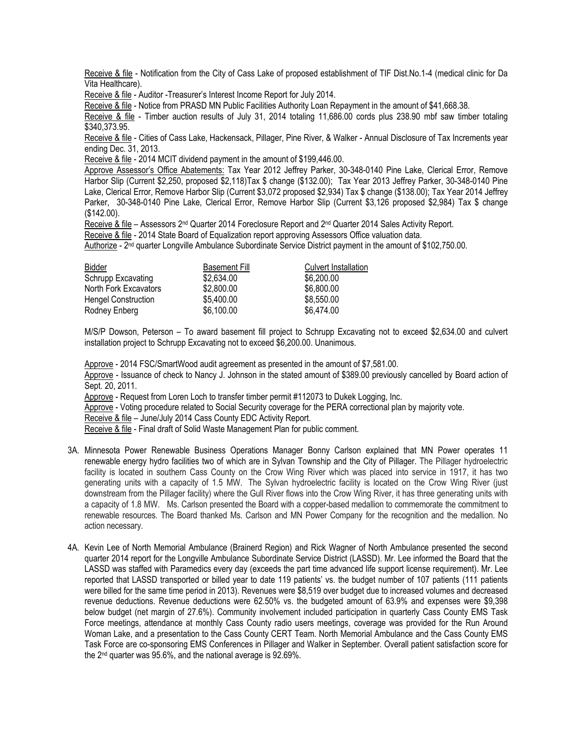Receive & file - Notification from the City of Cass Lake of proposed establishment of TIF Dist.No.1-4 (medical clinic for Da Vita Healthcare).

Receive & file - Auditor -Treasurer's Interest Income Report for July 2014.

Receive & file - Notice from PRASD MN Public Facilities Authority Loan Repayment in the amount of \$41,668.38.

Receive & file - Timber auction results of July 31, 2014 totaling 11,686.00 cords plus 238.90 mbf saw timber totaling \$340,373.95.

Receive & file - Cities of Cass Lake, Hackensack, Pillager, Pine River, & Walker - Annual Disclosure of Tax Increments year ending Dec. 31, 2013.

Receive & file - 2014 MCIT dividend payment in the amount of \$199,446.00.

Approve Assessor's Office Abatements: Tax Year 2012 Jeffrey Parker, 30-348-0140 Pine Lake, Clerical Error, Remove Harbor Slip (Current \$2,250, proposed \$2,118)Tax \$ change (\$132.00); Tax Year 2013 Jeffrey Parker, 30-348-0140 Pine Lake, Clerical Error, Remove Harbor Slip (Current \$3,072 proposed \$2,934) Tax \$ change (\$138.00); Tax Year 2014 Jeffrey Parker, 30-348-0140 Pine Lake, Clerical Error, Remove Harbor Slip (Current \$3,126 proposed \$2,984) Tax \$ change (\$142.00).

Receive & file – Assessors 2<sup>nd</sup> Quarter 2014 Foreclosure Report and 2<sup>nd</sup> Quarter 2014 Sales Activity Report.

Receive & file - 2014 State Board of Equalization report approving Assessors Office valuation data.

Authorize - 2<sup>nd</sup> quarter Longville Ambulance Subordinate Service District payment in the amount of \$102,750.00.

| Bidder                     | <b>Basement Fill</b> | <b>Culvert Installation</b> |
|----------------------------|----------------------|-----------------------------|
| Schrupp Excavating         | \$2,634.00           | \$6,200.00                  |
| North Fork Excavators      | \$2,800.00           | \$6,800.00                  |
| <b>Hengel Construction</b> | \$5,400.00           | \$8,550.00                  |
| Rodney Enberg              | \$6,100.00           | \$6,474.00                  |

M/S/P Dowson, Peterson – To award basement fill project to Schrupp Excavating not to exceed \$2,634.00 and culvert installation project to Schrupp Excavating not to exceed \$6,200.00. Unanimous.

Approve - 2014 FSC/SmartWood audit agreement as presented in the amount of \$7,581.00.

Approve - Issuance of check to Nancy J. Johnson in the stated amount of \$389.00 previously cancelled by Board action of Sept. 20, 2011.

Approve - Request from Loren Loch to transfer timber permit #112073 to Dukek Logging, Inc.

Approve - Voting procedure related to Social Security coverage for the PERA correctional plan by majority vote.

Receive & file – June/July 2014 Cass County EDC Activity Report.

Receive & file - Final draft of Solid Waste Management Plan for public comment.

- 3A. Minnesota Power Renewable Business Operations Manager Bonny Carlson explained that MN Power operates 11 renewable energy hydro facilities two of which are in Sylvan Township and the City of Pillager. The Pillager hydroelectric facility is located in southern Cass County on the Crow Wing River which was placed into service in 1917, it has two generating units with a capacity of 1.5 MW. The Sylvan hydroelectric facility is located on the Crow Wing River (just downstream from the Pillager facility) where the Gull River flows into the Crow Wing River, it has three generating units with a capacity of 1.8 MW. Ms. Carlson presented the Board with a copper-based medallion to commemorate the commitment to renewable resources. The Board thanked Ms. Carlson and MN Power Company for the recognition and the medallion. No action necessary.
- 4A. Kevin Lee of North Memorial Ambulance (Brainerd Region) and Rick Wagner of North Ambulance presented the second quarter 2014 report for the Longville Ambulance Subordinate Service District (LASSD). Mr. Lee informed the Board that the LASSD was staffed with Paramedics every day (exceeds the part time advanced life support license requirement). Mr. Lee reported that LASSD transported or billed year to date 119 patients' vs. the budget number of 107 patients (111 patients were billed for the same time period in 2013). Revenues were \$8,519 over budget due to increased volumes and decreased revenue deductions. Revenue deductions were 62.50% vs. the budgeted amount of 63.9% and expenses were \$9,398 below budget (net margin of 27.6%). Community involvement included participation in quarterly Cass County EMS Task Force meetings, attendance at monthly Cass County radio users meetings, coverage was provided for the Run Around Woman Lake, and a presentation to the Cass County CERT Team. North Memorial Ambulance and the Cass County EMS Task Force are co-sponsoring EMS Conferences in Pillager and Walker in September. Overall patient satisfaction score for the 2nd quarter was 95.6%, and the national average is 92.69%.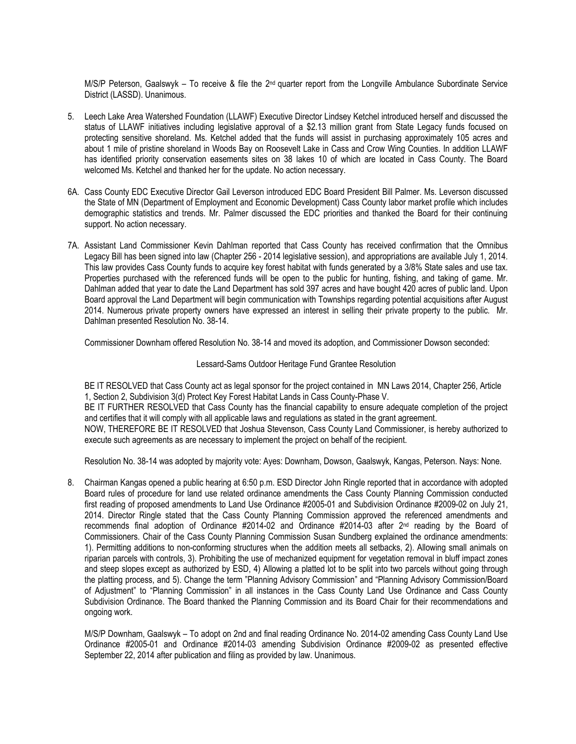M/S/P Peterson, Gaalswyk – To receive & file the 2<sup>nd</sup> quarter report from the Longville Ambulance Subordinate Service District (LASSD). Unanimous.

- 5. Leech Lake Area Watershed Foundation (LLAWF) Executive Director Lindsey Ketchel introduced herself and discussed the status of LLAWF initiatives including legislative approval of a \$2.13 million grant from State Legacy funds focused on protecting sensitive shoreland. Ms. Ketchel added that the funds will assist in purchasing approximately 105 acres and about 1 mile of pristine shoreland in Woods Bay on Roosevelt Lake in Cass and Crow Wing Counties. In addition LLAWF has identified priority conservation easements sites on 38 lakes 10 of which are located in Cass County. The Board welcomed Ms. Ketchel and thanked her for the update. No action necessary.
- 6A. Cass County EDC Executive Director Gail Leverson introduced EDC Board President Bill Palmer. Ms. Leverson discussed the State of MN (Department of Employment and Economic Development) Cass County labor market profile which includes demographic statistics and trends. Mr. Palmer discussed the EDC priorities and thanked the Board for their continuing support. No action necessary.
- 7A. Assistant Land Commissioner Kevin Dahlman reported that Cass County has received confirmation that the Omnibus Legacy Bill has been signed into law (Chapter 256 - 2014 legislative session), and appropriations are available July 1, 2014. This law provides Cass County funds to acquire key forest habitat with funds generated by a 3/8% State sales and use tax. Properties purchased with the referenced funds will be open to the public for hunting, fishing, and taking of game. Mr. Dahlman added that year to date the Land Department has sold 397 acres and have bought 420 acres of public land. Upon Board approval the Land Department will begin communication with Townships regarding potential acquisitions after August 2014. Numerous private property owners have expressed an interest in selling their private property to the public. Mr. Dahlman presented Resolution No. 38-14.

Commissioner Downham offered Resolution No. 38-14 and moved its adoption, and Commissioner Dowson seconded:

## Lessard-Sams Outdoor Heritage Fund Grantee Resolution

BE IT RESOLVED that Cass County act as legal sponsor for the project contained in MN Laws 2014, Chapter 256, Article 1, Section 2, Subdivision 3(d) Protect Key Forest Habitat Lands in Cass County-Phase V. BE IT FURTHER RESOLVED that Cass County has the financial capability to ensure adequate completion of the project and certifies that it will comply with all applicable laws and regulations as stated in the grant agreement. NOW, THEREFORE BE IT RESOLVED that Joshua Stevenson, Cass County Land Commissioner, is hereby authorized to execute such agreements as are necessary to implement the project on behalf of the recipient.

Resolution No. 38-14 was adopted by majority vote: Ayes: Downham, Dowson, Gaalswyk, Kangas, Peterson. Nays: None.

8. Chairman Kangas opened a public hearing at 6:50 p.m. ESD Director John Ringle reported that in accordance with adopted Board rules of procedure for land use related ordinance amendments the Cass County Planning Commission conducted first reading of proposed amendments to Land Use Ordinance #2005-01 and Subdivision Ordinance #2009-02 on July 21, 2014. Director Ringle stated that the Cass County Planning Commission approved the referenced amendments and recommends final adoption of Ordinance #2014-02 and Ordinance #2014-03 after 2<sup>nd</sup> reading by the Board of Commissioners. Chair of the Cass County Planning Commission Susan Sundberg explained the ordinance amendments: 1). Permitting additions to non-conforming structures when the addition meets all setbacks, 2). Allowing small animals on riparian parcels with controls, 3). Prohibiting the use of mechanized equipment for vegetation removal in bluff impact zones and steep slopes except as authorized by ESD, 4) Allowing a platted lot to be split into two parcels without going through the platting process, and 5). Change the term "Planning Advisory Commission" and "Planning Advisory Commission/Board of Adjustment" to "Planning Commission" in all instances in the Cass County Land Use Ordinance and Cass County Subdivision Ordinance. The Board thanked the Planning Commission and its Board Chair for their recommendations and ongoing work.

M/S/P Downham, Gaalswyk – To adopt on 2nd and final reading Ordinance No. 2014-02 amending Cass County Land Use Ordinance #2005-01 and Ordinance #2014-03 amending Subdivision Ordinance #2009-02 as presented effective September 22, 2014 after publication and filing as provided by law. Unanimous.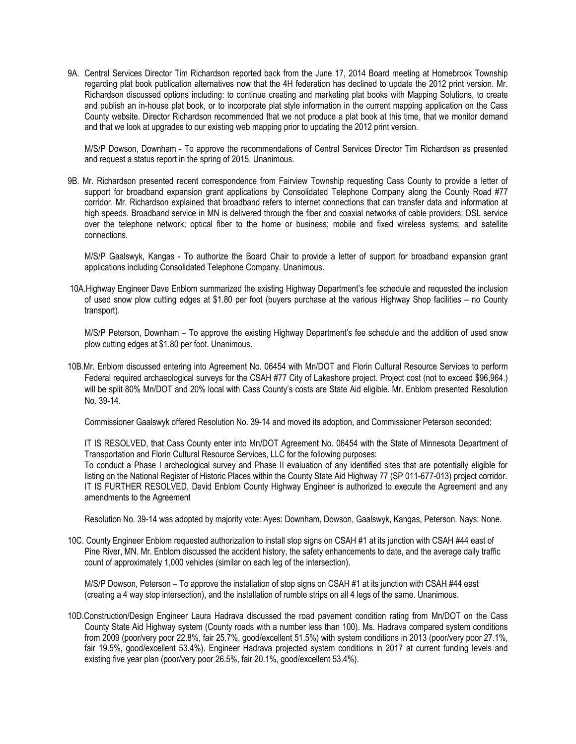9A. Central Services Director Tim Richardson reported back from the June 17, 2014 Board meeting at Homebrook Township regarding plat book publication alternatives now that the 4H federation has declined to update the 2012 print version. Mr. Richardson discussed options including: to continue creating and marketing plat books with Mapping Solutions, to create and publish an in-house plat book, or to incorporate plat style information in the current mapping application on the Cass County website. Director Richardson recommended that we not produce a plat book at this time, that we monitor demand and that we look at upgrades to our existing web mapping prior to updating the 2012 print version.

M/S/P Dowson, Downham - To approve the recommendations of Central Services Director Tim Richardson as presented and request a status report in the spring of 2015. Unanimous.

9B. Mr. Richardson presented recent correspondence from Fairview Township requesting Cass County to provide a letter of support for broadband expansion grant applications by Consolidated Telephone Company along the County Road #77 corridor. Mr. Richardson explained that broadband refers to internet connections that can transfer data and information at high speeds. Broadband service in MN is delivered through the fiber and coaxial networks of cable providers; DSL service over the telephone network; optical fiber to the home or business; mobile and fixed wireless systems; and satellite connections.

M/S/P Gaalswyk, Kangas - To authorize the Board Chair to provide a letter of support for broadband expansion grant applications including Consolidated Telephone Company. Unanimous.

10A.Highway Engineer Dave Enblom summarized the existing Highway Department's fee schedule and requested the inclusion of used snow plow cutting edges at \$1.80 per foot (buyers purchase at the various Highway Shop facilities – no County transport).

M/S/P Peterson, Downham – To approve the existing Highway Department's fee schedule and the addition of used snow plow cutting edges at \$1.80 per foot. Unanimous.

10B.Mr. Enblom discussed entering into Agreement No. 06454 with Mn/DOT and Florin Cultural Resource Services to perform Federal required archaeological surveys for the CSAH #77 City of Lakeshore project. Project cost (not to exceed \$96,964.) will be split 80% Mn/DOT and 20% local with Cass County's costs are State Aid eligible. Mr. Enblom presented Resolution No. 39-14.

Commissioner Gaalswyk offered Resolution No. 39-14 and moved its adoption, and Commissioner Peterson seconded:

IT IS RESOLVED, that Cass County enter into Mn/DOT Agreement No. 06454 with the State of Minnesota Department of Transportation and Florin Cultural Resource Services, LLC for the following purposes: To conduct a Phase I archeological survey and Phase II evaluation of any identified sites that are potentially eligible for listing on the National Register of Historic Places within the County State Aid Highway 77 (SP 011-677-013) project corridor. IT IS FURTHER RESOLVED, David Enblom County Highway Engineer is authorized to execute the Agreement and any amendments to the Agreement

Resolution No. 39-14 was adopted by majority vote: Ayes: Downham, Dowson, Gaalswyk, Kangas, Peterson. Nays: None.

10C. County Engineer Enblom requested authorization to install stop signs on CSAH #1 at its junction with CSAH #44 east of Pine River, MN. Mr. Enblom discussed the accident history, the safety enhancements to date, and the average daily traffic count of approximately 1,000 vehicles (similar on each leg of the intersection).

M/S/P Dowson, Peterson – To approve the installation of stop signs on CSAH #1 at its junction with CSAH #44 east (creating a 4 way stop intersection), and the installation of rumble strips on all 4 legs of the same. Unanimous.

10D.Construction/Design Engineer Laura Hadrava discussed the road pavement condition rating from Mn/DOT on the Cass County State Aid Highway system (County roads with a number less than 100). Ms. Hadrava compared system conditions from 2009 (poor/very poor 22.8%, fair 25.7%, good/excellent 51.5%) with system conditions in 2013 (poor/very poor 27.1%, fair 19.5%, good/excellent 53.4%). Engineer Hadrava projected system conditions in 2017 at current funding levels and existing five year plan (poor/very poor 26.5%, fair 20.1%, good/excellent 53.4%).